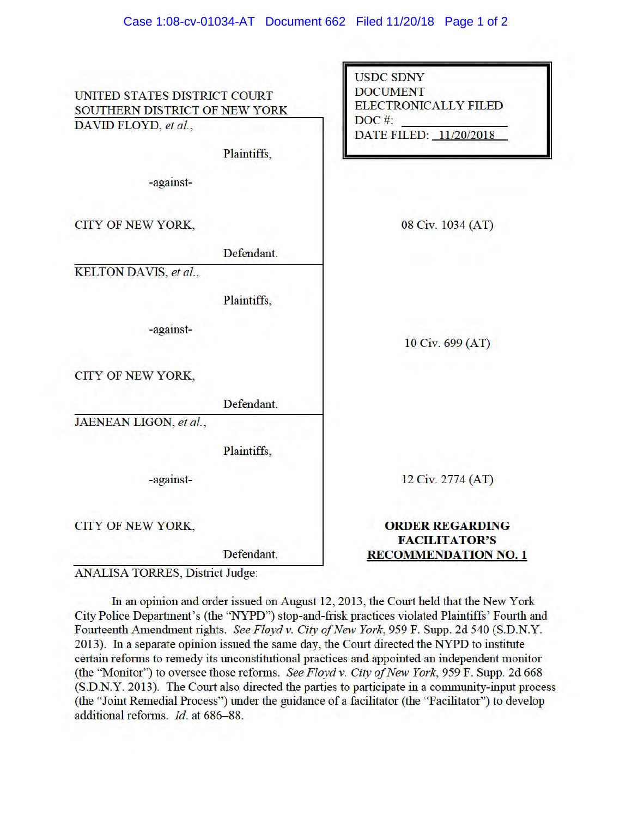| UNITED STATES DISTRICT COURT                          |             | <b>USDC SDNY</b><br><b>DOCUMENT</b><br><b>ELECTRONICALLY FILED</b> |
|-------------------------------------------------------|-------------|--------------------------------------------------------------------|
| SOUTHERN DISTRICT OF NEW YORK<br>DAVID FLOYD, et al., |             | $DOC$ #:<br>DATE FILED: 11/20/2018                                 |
|                                                       | Plaintiffs, |                                                                    |
| -against-                                             |             |                                                                    |
| CITY OF NEW YORK,                                     |             | 08 Civ. 1034 (AT)                                                  |
|                                                       | Defendant.  |                                                                    |
| KELTON DAVIS, et al.,                                 |             |                                                                    |
|                                                       | Plaintiffs, |                                                                    |
| -against-                                             |             | 10 Civ. 699 (AT)                                                   |
| CITY OF NEW YORK,                                     |             |                                                                    |
|                                                       | Defendant.  |                                                                    |
| JAENEAN LIGON, et al.,                                |             |                                                                    |
|                                                       | Plaintiffs, |                                                                    |
| -against-                                             |             | 12 Civ. 2774 (AT)                                                  |
| CITY OF NEW YORK,                                     |             | <b>ORDER REGARDING</b><br><b>FACILITATOR'S</b>                     |
|                                                       | Defendant.  | <b>RECOMMENDATION NO. 1</b>                                        |

**ANALISA TORRES, District Judge:** 

In an opinion and order issued on August 12, 2013, the Court held that the New York City Police Department's (the "NYPD") stop-and-frisk practices violated Plaintiffs' Fourth and Fourteenth Amendment rights. See Floyd v. City of New York, 959 F. Supp. 2d 540 (S.D.N.Y. 2013). In a separate opinion issued the same day, the Court directed the NYPD to institute certain reforms to remedy its unconstitutional practices and appointed an independent monitor (the "Monitor") to oversee those reforms. See Floyd v. City of New York, 959 F. Supp. 2d 668 (S.D.N.Y. 2013). The Court also directed the parties to participate in a community-input process (the "Joint Remedial Process") under the guidance of a facilitator (the "Facilitator") to develop additional reforms. Id. at 686-88.